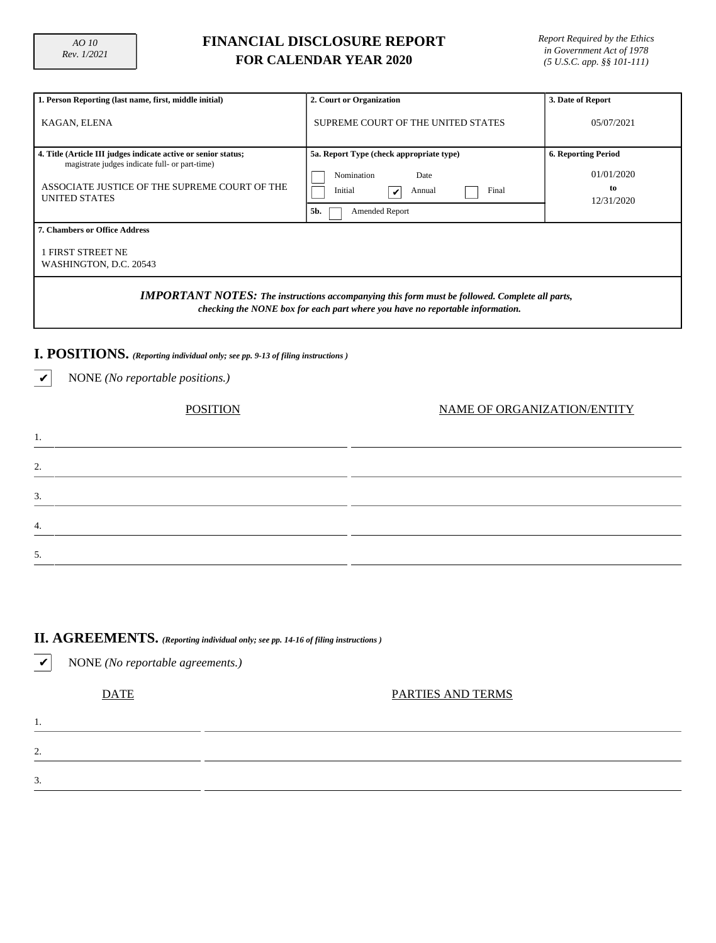5.

# **FINANCIAL DISCLOSURE REPORT FOR CALENDAR YEAR 2020**

| 1. Person Reporting (last name, first, middle initial)                                                                                                                                    | 2. Court or Organization                                                                                                              | 3. Date of Report                                            |  |  |  |  |  |  |  |  |  |
|-------------------------------------------------------------------------------------------------------------------------------------------------------------------------------------------|---------------------------------------------------------------------------------------------------------------------------------------|--------------------------------------------------------------|--|--|--|--|--|--|--|--|--|
| KAGAN, ELENA                                                                                                                                                                              | SUPREME COURT OF THE UNITED STATES                                                                                                    | 05/07/2021                                                   |  |  |  |  |  |  |  |  |  |
| 4. Title (Article III judges indicate active or senior status;<br>magistrate judges indicate full- or part-time)<br>ASSOCIATE JUSTICE OF THE SUPREME COURT OF THE<br><b>UNITED STATES</b> | 5a. Report Type (check appropriate type)<br>Nomination<br>Date<br>Final<br>Initial<br>Annual<br>$\checkmark$<br>5b.<br>Amended Report | <b>6. Reporting Period</b><br>01/01/2020<br>to<br>12/31/2020 |  |  |  |  |  |  |  |  |  |
| 7. Chambers or Office Address                                                                                                                                                             |                                                                                                                                       |                                                              |  |  |  |  |  |  |  |  |  |
| <b>1 FIRST STREET NE</b><br>WASHINGTON, D.C. 20543                                                                                                                                        |                                                                                                                                       |                                                              |  |  |  |  |  |  |  |  |  |
| <b>IMPORTANT NOTES:</b> The instructions accompanying this form must be followed. Complete all parts,<br>checking the NONE box for each part where you have no reportable information.    |                                                                                                                                       |                                                              |  |  |  |  |  |  |  |  |  |
| I. POSITIONS. (Reporting individual only; see pp. 9-13 of filing instructions)                                                                                                            |                                                                                                                                       |                                                              |  |  |  |  |  |  |  |  |  |
| NONE (No reportable positions.)                                                                                                                                                           |                                                                                                                                       |                                                              |  |  |  |  |  |  |  |  |  |
| <b>POSITION</b><br>NAME OF ORGANIZATION/ENTITY                                                                                                                                            |                                                                                                                                       |                                                              |  |  |  |  |  |  |  |  |  |
| 1.                                                                                                                                                                                        |                                                                                                                                       |                                                              |  |  |  |  |  |  |  |  |  |
| 2.                                                                                                                                                                                        |                                                                                                                                       |                                                              |  |  |  |  |  |  |  |  |  |
| 3.                                                                                                                                                                                        |                                                                                                                                       |                                                              |  |  |  |  |  |  |  |  |  |
| 4.                                                                                                                                                                                        |                                                                                                                                       |                                                              |  |  |  |  |  |  |  |  |  |

## **II. AGREEMENTS.** *(Reporting individual only; see pp. 14-16 of filing instructions )*

| <b>DATE</b><br>PARTIES AND TERMS |
|----------------------------------|
|                                  |
| . .                              |
|                                  |
|                                  |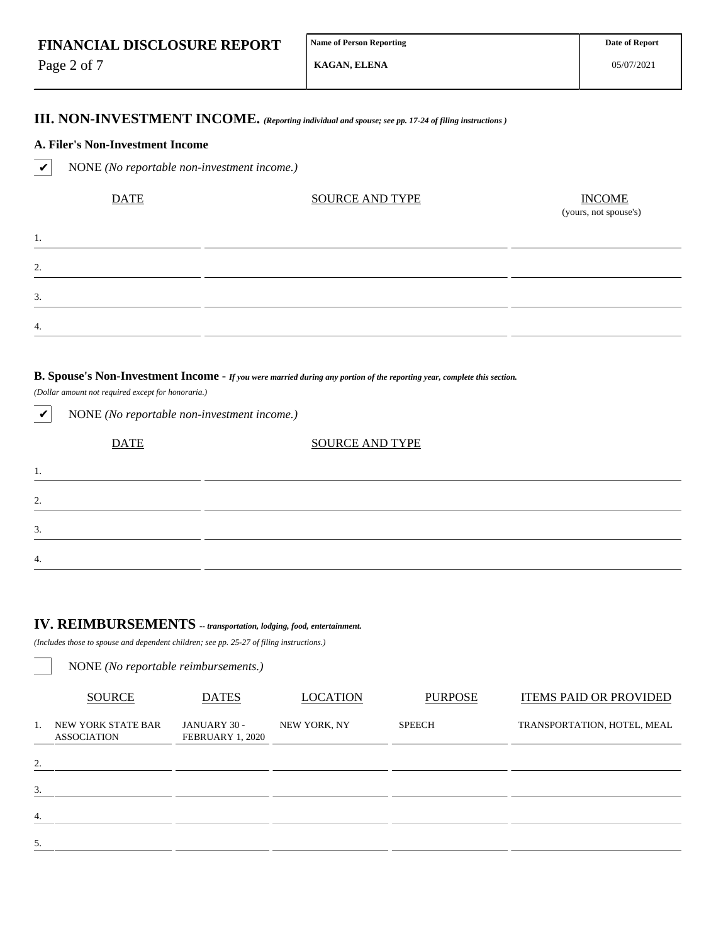Page 2 of 7

1.

2.

3.

4.

**KAGAN, ELENA**

05/07/2021

### **III. NON-INVESTMENT INCOME.** *(Reporting individual and spouse; see pp. 17-24 of filing instructions )*

### **A. Filer's Non-Investment Income**

✔ NONE *(No reportable non-investment income.)*

| <b>DATE</b> | <b>SOURCE AND TYPE</b> | $\frac{INCOME}{(yours, not\,, y)}$ |
|-------------|------------------------|------------------------------------|
|             |                        |                                    |
|             |                        |                                    |
|             |                        |                                    |
|             |                        |                                    |

### **B. Spouse's Non-Investment Income -** *If you were married during any portion of the reporting year, complete this section.*

*(Dollar amount not required except for honoraria.)*

| $\checkmark$     | NONE (No reportable non-investment income.) |                        |  |
|------------------|---------------------------------------------|------------------------|--|
|                  | <b>DATE</b>                                 | <b>SOURCE AND TYPE</b> |  |
| 1.               |                                             |                        |  |
| 2.               |                                             |                        |  |
| 3.               |                                             |                        |  |
| $\overline{4}$ . |                                             |                        |  |

# **IV. REIMBURSEMENTS** *-- transportation, lodging, food, entertainment.*

*(Includes those to spouse and dependent children; see pp. 25-27 of filing instructions.)*

|                  | NONE (No reportable reimbursements.)     |                                  |                 |                |                               |
|------------------|------------------------------------------|----------------------------------|-----------------|----------------|-------------------------------|
|                  | <b>SOURCE</b>                            | <b>DATES</b>                     | <b>LOCATION</b> | <b>PURPOSE</b> | <b>ITEMS PAID OR PROVIDED</b> |
| 1.               | NEW YORK STATE BAR<br><b>ASSOCIATION</b> | JANUARY 30 -<br>FEBRUARY 1, 2020 | NEW YORK, NY    | <b>SPEECH</b>  | TRANSPORTATION, HOTEL, MEAL   |
| 2.               |                                          |                                  |                 |                |                               |
| 3.               |                                          |                                  |                 |                |                               |
| $\overline{4}$ . |                                          |                                  |                 |                |                               |
| 5.               |                                          |                                  |                 |                |                               |
|                  |                                          |                                  |                 |                |                               |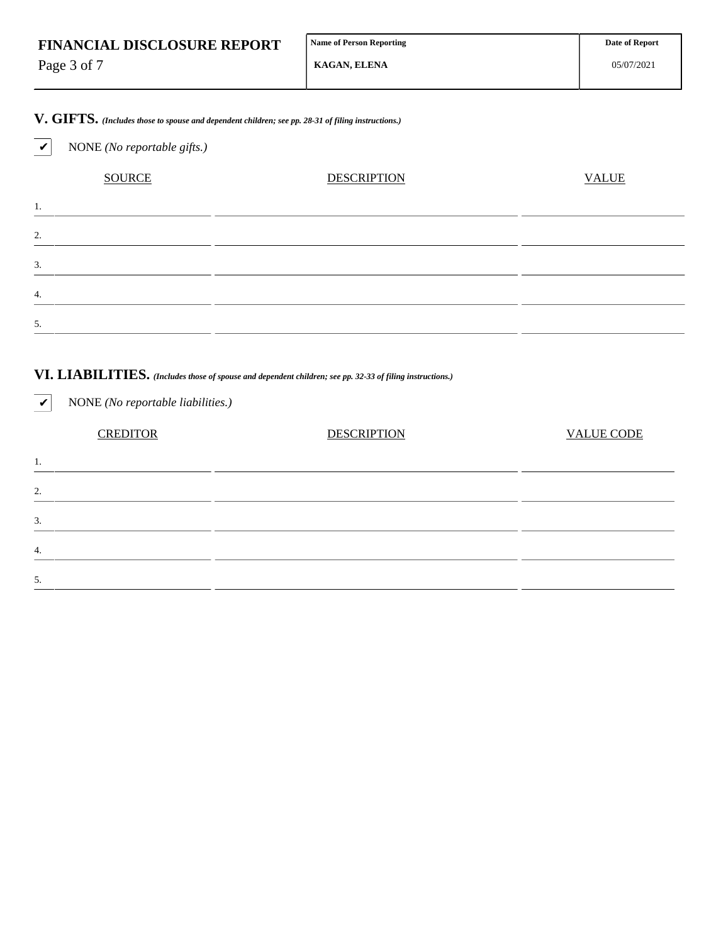| <b>FINANCIAL DISCLOSURE REPORT</b> | Name of Person Reporting |
|------------------------------------|--------------------------|
|------------------------------------|--------------------------|

Page 3 of 7

✔ NONE *(No reportable gifts.)*

**V. GIFTS.** *(Includes those to spouse and dependent children; see pp. 28-31 of filing instructions.)*

# SOURCE DESCRIPTION DESCRIPTION VALUE 1. 2. 3. 4. 5.

### **VI. LIABILITIES.** *(Includes those of spouse and dependent children; see pp. 32-33 of filing instructions.)*

✔ NONE *(No reportable liabilities.)* CREDITOR DESCRIPTION VALUE CODE 1. 2. 3. 4. 5.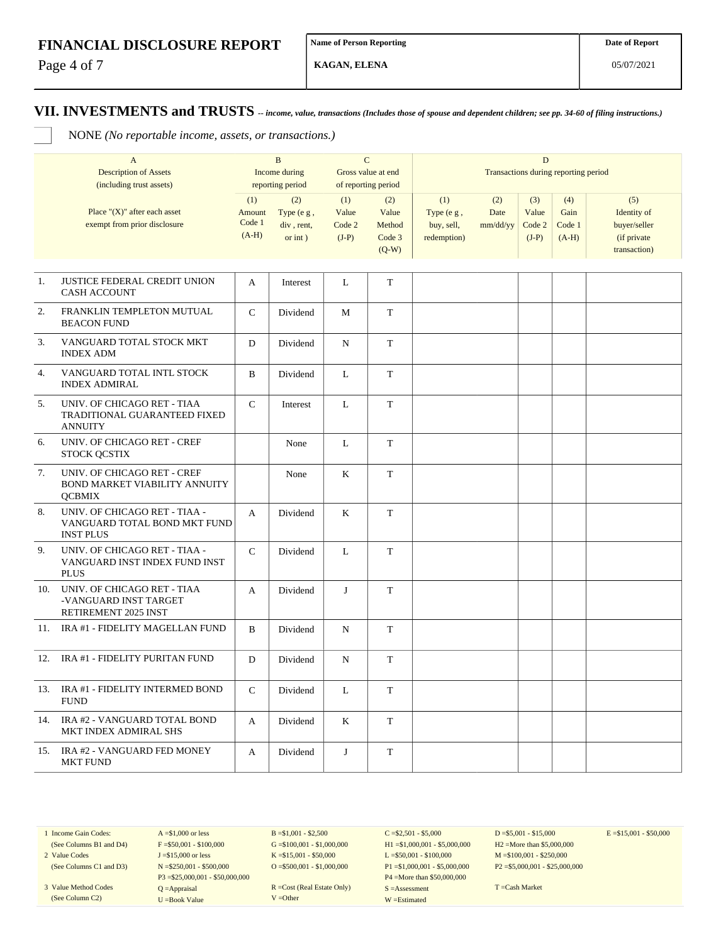Page 4 of 7

**KAGAN, ELENA**

**VII. INVESTMENTS and TRUSTS** *-- income, value, transactions (Includes those of spouse and dependent children; see pp. 34-60 of filing instructions.)*

NONE *(No reportable income, assets, or transactions.)*

| $\mathbf{A}$<br><b>Description of Assets</b><br>(including trust assets) |                                                                                   |                                    | $\mathbf{B}$<br>Income during<br>reporting period |                                   | $\mathbf C$<br>Gross value at end<br>of reporting period | D<br>Transactions during reporting period      |                         |                                   |                                  |                                                                   |
|--------------------------------------------------------------------------|-----------------------------------------------------------------------------------|------------------------------------|---------------------------------------------------|-----------------------------------|----------------------------------------------------------|------------------------------------------------|-------------------------|-----------------------------------|----------------------------------|-------------------------------------------------------------------|
|                                                                          | Place " $(X)$ " after each asset<br>exempt from prior disclosure                  | (1)<br>Amount<br>Code 1<br>$(A-H)$ | (2)<br>Type (e g,<br>div, rent,<br>or int)        | (1)<br>Value<br>Code 2<br>$(J-P)$ | (2)<br>Value<br>Method<br>Code 3<br>$(Q-W)$              | (1)<br>Type (e g,<br>buy, sell,<br>redemption) | (2)<br>Date<br>mm/dd/yy | (3)<br>Value<br>Code 2<br>$(J-P)$ | (4)<br>Gain<br>Code 1<br>$(A-H)$ | (5)<br>Identity of<br>buyer/seller<br>(if private<br>transaction) |
| 1.                                                                       | JUSTICE FEDERAL CREDIT UNION<br><b>CASH ACCOUNT</b>                               | A                                  | Interest                                          | L                                 | $\mathbf T$                                              |                                                |                         |                                   |                                  |                                                                   |
| 2.                                                                       | FRANKLIN TEMPLETON MUTUAL<br><b>BEACON FUND</b>                                   | $\mathcal{C}$                      | Dividend                                          | M                                 | T                                                        |                                                |                         |                                   |                                  |                                                                   |
| 3.                                                                       | VANGUARD TOTAL STOCK MKT<br><b>INDEX ADM</b>                                      | D                                  | Dividend                                          | N                                 | T                                                        |                                                |                         |                                   |                                  |                                                                   |
| 4.                                                                       | VANGUARD TOTAL INTL STOCK<br><b>INDEX ADMIRAL</b>                                 | $\mathbf B$                        | Dividend                                          | L                                 | $\mathbf T$                                              |                                                |                         |                                   |                                  |                                                                   |
| 5.                                                                       | UNIV. OF CHICAGO RET - TIAA<br>TRADITIONAL GUARANTEED FIXED<br><b>ANNUITY</b>     | $\mathsf{C}$                       | Interest                                          | L                                 | $\mathbf T$                                              |                                                |                         |                                   |                                  |                                                                   |
| 6.                                                                       | UNIV. OF CHICAGO RET - CREF<br>STOCK QCSTIX                                       |                                    | None                                              | L                                 | $\mathbf T$                                              |                                                |                         |                                   |                                  |                                                                   |
| 7.                                                                       | UNIV. OF CHICAGO RET - CREF<br>BOND MARKET VIABILITY ANNUITY<br><b>QCBMIX</b>     |                                    | None                                              | K                                 | T                                                        |                                                |                         |                                   |                                  |                                                                   |
| 8.                                                                       | UNIV. OF CHICAGO RET - TIAA -<br>VANGUARD TOTAL BOND MKT FUND<br><b>INST PLUS</b> | A                                  | Dividend                                          | K                                 | T                                                        |                                                |                         |                                   |                                  |                                                                   |
| 9.                                                                       | UNIV. OF CHICAGO RET - TIAA -<br>VANGUARD INST INDEX FUND INST<br><b>PLUS</b>     | $\mathsf{C}$                       | Dividend                                          | L                                 | T                                                        |                                                |                         |                                   |                                  |                                                                   |
| 10.                                                                      | UNIV. OF CHICAGO RET - TIAA<br>-VANGUARD INST TARGET<br>RETIREMENT 2025 INST      | $\mathbf{A}$                       | Dividend                                          | J                                 | T                                                        |                                                |                         |                                   |                                  |                                                                   |
| 11.                                                                      | IRA #1 - FIDELITY MAGELLAN FUND                                                   | $\mathbf B$                        | Dividend                                          | ${\bf N}$                         | $\mathbf T$                                              |                                                |                         |                                   |                                  |                                                                   |
| 12.                                                                      | IRA #1 - FIDELITY PURITAN FUND                                                    | D                                  | Dividend                                          | N                                 | $\mathbf T$                                              |                                                |                         |                                   |                                  |                                                                   |
| 13.                                                                      | IRA #1 - FIDELITY INTERMED BOND<br><b>FUND</b>                                    | $\mathsf{C}$                       | Dividend                                          | L                                 | $\mathbf T$                                              |                                                |                         |                                   |                                  |                                                                   |
| 14.                                                                      | IRA #2 - VANGUARD TOTAL BOND<br>MKT INDEX ADMIRAL SHS                             | A                                  | Dividend                                          | K                                 | $\mathbf T$                                              |                                                |                         |                                   |                                  |                                                                   |
| 15.                                                                      | IRA #2 - VANGUARD FED MONEY<br><b>MKT FUND</b>                                    | A                                  | Dividend                                          | J                                 | T                                                        |                                                |                         |                                   |                                  |                                                                   |

1 Income Gain Codes:

(See Columns B1 and D4) 2 Value Codes

3 Value Method Codes (See Column C2)

(See Columns C1 and D3)  $F = $50,001 - $100,000$ J =\$15,000 or less N =\$250,001 - \$500,000 P3 =\$25,000,001 - \$50,000,000 Q =Appraisal U =Book Value

 $A = $1,000$  or less

 $B = $1,001 - $2,500$  $G = $100,001 - $1,000,000$ K =\$15,001 - \$50,000 O =  $$500,001 - $1,000,000$ 

R =Cost (Real Estate Only) V =Other

 $C = $2,501 - $5,000$ H1 =\$1,000,001 - \$5,000,000 L =\$50,001 - \$100,000 P1 =\$1,000,001 - \$5,000,000 P4 =More than \$50,000,000 S =Assessment W =Estimated

 $D = $5,001 - $15,000$ H2 =More than \$5,000,000 M =\$100,001 - \$250,000 P2 =\$5,000,001 - \$25,000,000  $E = $15,001 - $50,000$ 

T =Cash Market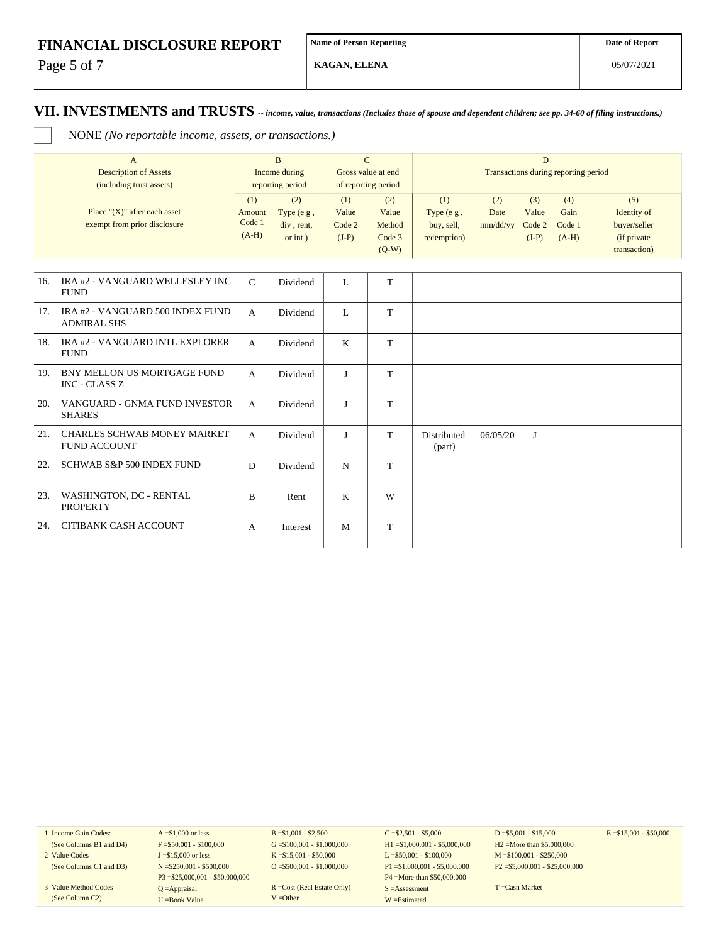Page 5 of 7

**KAGAN, ELENA**

**VII. INVESTMENTS and TRUSTS** *-- income, value, transactions (Includes those of spouse and dependent children; see pp. 34-60 of filing instructions.)*

NONE *(No reportable income, assets, or transactions.)*

|     | $\overline{A}$<br><b>Description of Assets</b><br>(including trust assets) | $\mathbf{B}$<br>Income during<br>reporting period |                                                 | $\mathbf C$<br>Gross value at end<br>of reporting period |                                             | D<br>Transactions during reporting period      |                         |                                   |                                  |                                                                    |
|-----|----------------------------------------------------------------------------|---------------------------------------------------|-------------------------------------------------|----------------------------------------------------------|---------------------------------------------|------------------------------------------------|-------------------------|-----------------------------------|----------------------------------|--------------------------------------------------------------------|
|     | Place " $(X)$ " after each asset<br>exempt from prior disclosure           | (1)<br>Amount<br>Code 1<br>$(A-H)$                | (2)<br>Type (e g,<br>div, rent,<br>$or$ int $)$ | (1)<br>Value<br>Code 2<br>$(J-P)$                        | (2)<br>Value<br>Method<br>Code 3<br>$(Q-W)$ | (1)<br>Type (e g,<br>buy, sell,<br>redemption) | (2)<br>Date<br>mm/dd/yy | (3)<br>Value<br>Code 2<br>$(J-P)$ | (4)<br>Gain<br>Code 1<br>$(A-H)$ | (5)<br>Identity of<br>buyer/seller<br>(if private)<br>transaction) |
| 16. | IRA #2 - VANGUARD WELLESLEY INC<br><b>FUND</b>                             | $\mathbf C$                                       | Dividend                                        | L                                                        | T                                           |                                                |                         |                                   |                                  |                                                                    |
| 17. | IRA #2 - VANGUARD 500 INDEX FUND<br><b>ADMIRAL SHS</b>                     | $\mathbf{A}$                                      | Dividend                                        | L                                                        | T                                           |                                                |                         |                                   |                                  |                                                                    |
| 18. | IRA #2 - VANGUARD INTL EXPLORER<br><b>FUND</b>                             | A                                                 | Dividend                                        | K                                                        | T                                           |                                                |                         |                                   |                                  |                                                                    |
| 19. | BNY MELLON US MORTGAGE FUND<br><b>INC - CLASS Z</b>                        | $\overline{A}$                                    | Dividend                                        | J                                                        | T                                           |                                                |                         |                                   |                                  |                                                                    |
| 20. | VANGUARD - GNMA FUND INVESTOR<br><b>SHARES</b>                             | $\mathsf{A}$                                      | Dividend                                        | $\mathbf{J}$                                             | T                                           |                                                |                         |                                   |                                  |                                                                    |
| 21. | <b>CHARLES SCHWAB MONEY MARKET</b><br><b>FUND ACCOUNT</b>                  | $\mathbf{A}$                                      | Dividend                                        | J                                                        | T                                           | Distributed<br>(part)                          | 06/05/20                | J                                 |                                  |                                                                    |
| 22. | SCHWAB S&P 500 INDEX FUND                                                  | D                                                 | Dividend                                        | N                                                        | T                                           |                                                |                         |                                   |                                  |                                                                    |
| 23. | WASHINGTON, DC - RENTAL<br><b>PROPERTY</b>                                 | $\mathbf B$                                       | Rent                                            | K                                                        | W                                           |                                                |                         |                                   |                                  |                                                                    |
| 24. | CITIBANK CASH ACCOUNT                                                      | A                                                 | Interest                                        | M                                                        | T                                           |                                                |                         |                                   |                                  |                                                                    |

1 Income Gain Codes: (See Columns B1 and D4)

2 Value Codes (See Columns C1 and D3)

3 Value Method Codes (See Column C2)

 $A = $1,000$  or less  $F = $50,001 - $100,000$ J =\$15,000 or less N =\$250,001 - \$500,000 P3 =\$25,000,001 - \$50,000,000 Q =Appraisal U =Book Value

 $B = $1,001 - $2,500$  $G = $100,001 - $1,000,000$ K =\$15,001 - \$50,000 O =  $$500,001 - $1,000,000$ 

R =Cost (Real Estate Only) V =Other

 $C = $2,501 - $5,000$ H1 =\$1,000,001 - \$5,000,000 L =\$50,001 - \$100,000 P1 =\$1,000,001 - \$5,000,000 P4 =More than \$50,000,000 S =Assessment W =Estimated

 $D = $5,001 - $15,000$ H2 =More than \$5,000,000 M =\$100,001 - \$250,000 P2 =\$5,000,001 - \$25,000,000  $E = $15,001 - $50,000$ 

T =Cash Market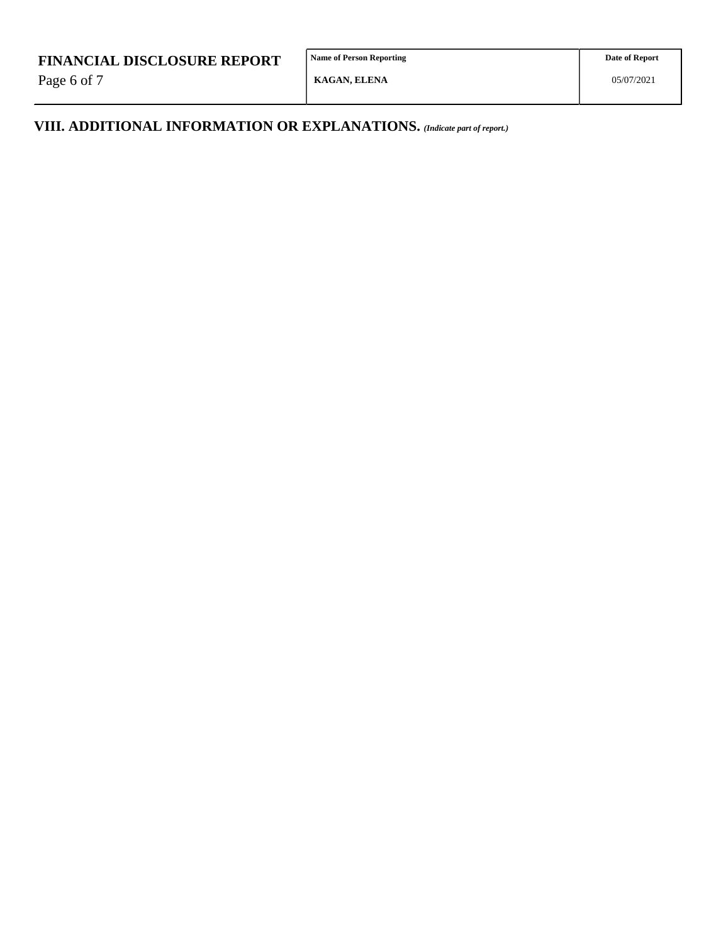Page 6 of 7

**Name of Person Reporting**

**KAGAN, ELENA**

**Date of Report**

**VIII. ADDITIONAL INFORMATION OR EXPLANATIONS.** *(Indicate part of report.)*